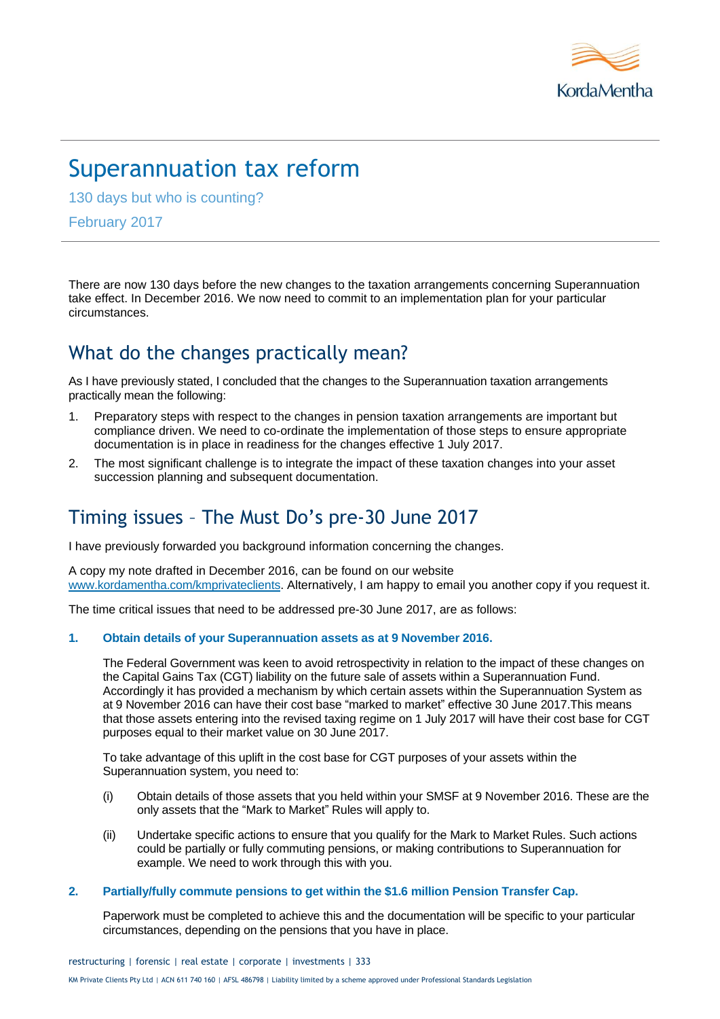

# Superannuation tax reform

130 days but who is counting?

February 2017

There are now 130 days before the new changes to the taxation arrangements concerning Superannuation take effect. In December 2016. We now need to commit to an implementation plan for your particular circumstances.

## What do the changes practically mean?

As I have previously stated, I concluded that the changes to the Superannuation taxation arrangements practically mean the following:

- 1. Preparatory steps with respect to the changes in pension taxation arrangements are important but compliance driven. We need to co-ordinate the implementation of those steps to ensure appropriate documentation is in place in readiness for the changes effective 1 July 2017.
- 2. The most significant challenge is to integrate the impact of these taxation changes into your asset succession planning and subsequent documentation.

# Timing issues – The Must Do's pre-30 June 2017

I have previously forwarded you background information concerning the changes.

A copy my note drafted in December 2016, can be found on our website [www.kordamentha.com/kmprivateclients.](http://www.kordamentha.com/kmprivateclients) Alternatively, I am happy to email you another copy if you request it.

The time critical issues that need to be addressed pre-30 June 2017, are as follows:

#### **1. Obtain details of your Superannuation assets as at 9 November 2016.**

The Federal Government was keen to avoid retrospectivity in relation to the impact of these changes on the Capital Gains Tax (CGT) liability on the future sale of assets within a Superannuation Fund. Accordingly it has provided a mechanism by which certain assets within the Superannuation System as at 9 November 2016 can have their cost base "marked to market" effective 30 June 2017.This means that those assets entering into the revised taxing regime on 1 July 2017 will have their cost base for CGT purposes equal to their market value on 30 June 2017.

To take advantage of this uplift in the cost base for CGT purposes of your assets within the Superannuation system, you need to:

- (i) Obtain details of those assets that you held within your SMSF at 9 November 2016. These are the only assets that the "Mark to Market" Rules will apply to.
- (ii) Undertake specific actions to ensure that you qualify for the Mark to Market Rules. Such actions could be partially or fully commuting pensions, or making contributions to Superannuation for example. We need to work through this with you.

#### **2. Partially/fully commute pensions to get within the \$1.6 million Pension Transfer Cap.**

Paperwork must be completed to achieve this and the documentation will be specific to your particular circumstances, depending on the pensions that you have in place.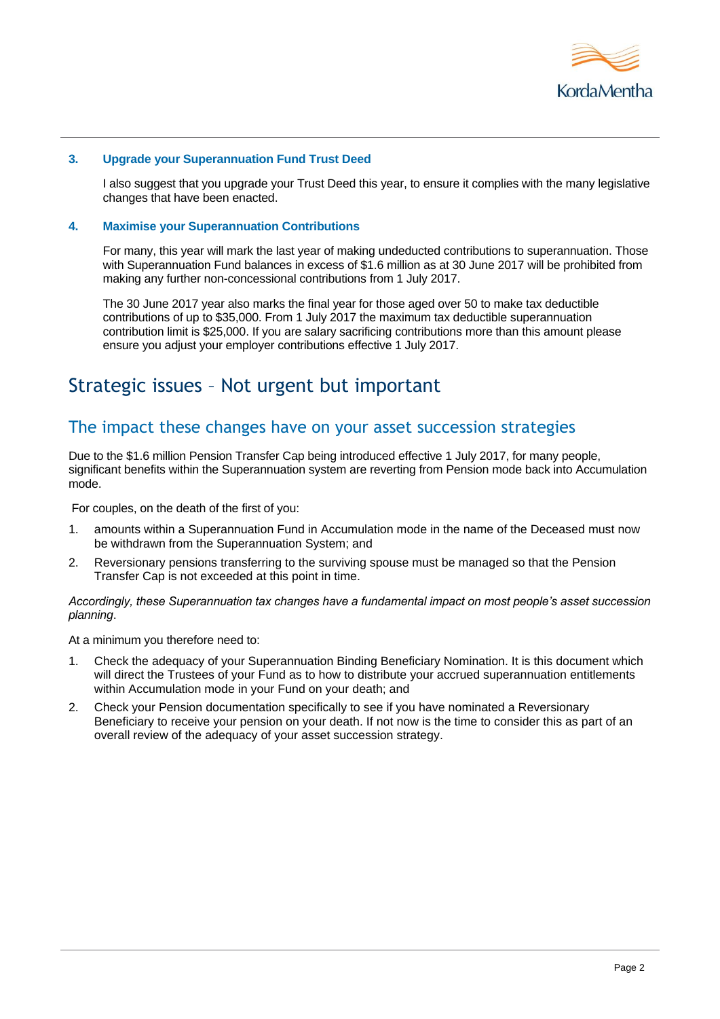

#### **3. Upgrade your Superannuation Fund Trust Deed**

I also suggest that you upgrade your Trust Deed this year, to ensure it complies with the many legislative changes that have been enacted.

#### **4. Maximise your Superannuation Contributions**

For many, this year will mark the last year of making undeducted contributions to superannuation. Those with Superannuation Fund balances in excess of \$1.6 million as at 30 June 2017 will be prohibited from making any further non-concessional contributions from 1 July 2017.

The 30 June 2017 year also marks the final year for those aged over 50 to make tax deductible contributions of up to \$35,000. From 1 July 2017 the maximum tax deductible superannuation contribution limit is \$25,000. If you are salary sacrificing contributions more than this amount please ensure you adjust your employer contributions effective 1 July 2017.

### Strategic issues – Not urgent but important

### The impact these changes have on your asset succession strategies

Due to the \$1.6 million Pension Transfer Cap being introduced effective 1 July 2017, for many people, significant benefits within the Superannuation system are reverting from Pension mode back into Accumulation mode.

For couples, on the death of the first of you:

- 1. amounts within a Superannuation Fund in Accumulation mode in the name of the Deceased must now be withdrawn from the Superannuation System; and
- 2. Reversionary pensions transferring to the surviving spouse must be managed so that the Pension Transfer Cap is not exceeded at this point in time.

*Accordingly, these Superannuation tax changes have a fundamental impact on most people's asset succession planning*.

At a minimum you therefore need to:

- 1. Check the adequacy of your Superannuation Binding Beneficiary Nomination. It is this document which will direct the Trustees of your Fund as to how to distribute your accrued superannuation entitlements within Accumulation mode in your Fund on your death; and
- 2. Check your Pension documentation specifically to see if you have nominated a Reversionary Beneficiary to receive your pension on your death. If not now is the time to consider this as part of an overall review of the adequacy of your asset succession strategy.